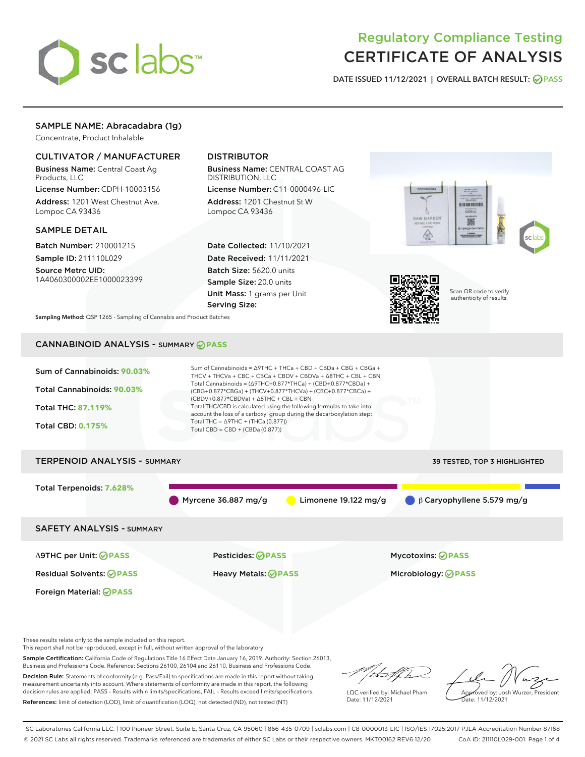

# Regulatory Compliance Testing CERTIFICATE OF ANALYSIS

DATE ISSUED 11/12/2021 | OVERALL BATCH RESULT: @ PASS

# SAMPLE NAME: Abracadabra (1g)

Concentrate, Product Inhalable

# CULTIVATOR / MANUFACTURER

Business Name: Central Coast Ag Products, LLC

License Number: CDPH-10003156 Address: 1201 West Chestnut Ave. Lompoc CA 93436

#### SAMPLE DETAIL

Batch Number: 210001215 Sample ID: 211110L029

Source Metrc UID: 1A4060300002EE1000023399

# DISTRIBUTOR

Business Name: CENTRAL COAST AG DISTRIBUTION, LLC

License Number: C11-0000496-LIC Address: 1201 Chestnut St W Lompoc CA 93436

Date Collected: 11/10/2021 Date Received: 11/11/2021 Batch Size: 5620.0 units Sample Size: 20.0 units Unit Mass: 1 grams per Unit Serving Size:





Scan QR code to verify authenticity of results.

Sampling Method: QSP 1265 - Sampling of Cannabis and Product Batches

# CANNABINOID ANALYSIS - SUMMARY **PASS**

| Sum of Cannabinoids: 90.03%<br>Total Cannabinoids: 90.03%<br><b>Total THC: 87.119%</b><br><b>Total CBD: 0.175%</b> | Sum of Cannabinoids = ∆9THC + THCa + CBD + CBDa + CBG + CBGa +<br>THCV + THCVa + CBC + CBCa + CBDV + CBDVa + $\Delta$ 8THC + CBL + CBN<br>Total Cannabinoids = $(\Delta 9THC + 0.877*THCa) + (CBD + 0.877*CBDa) +$<br>(CBG+0.877*CBGa) + (THCV+0.877*THCVa) + (CBC+0.877*CBCa) +<br>$(CBDV+0.877*CBDVa) + \Delta 8THC + CBL + CBN$<br>Total THC/CBD is calculated using the following formulas to take into<br>account the loss of a carboxyl group during the decarboxylation step:<br>Total THC = $\triangle$ 9THC + (THCa (0.877))<br>Total $CBD = CBD + (CBDa (0.877))$ |                                                            |
|--------------------------------------------------------------------------------------------------------------------|-----------------------------------------------------------------------------------------------------------------------------------------------------------------------------------------------------------------------------------------------------------------------------------------------------------------------------------------------------------------------------------------------------------------------------------------------------------------------------------------------------------------------------------------------------------------------------|------------------------------------------------------------|
| <b>TERPENOID ANALYSIS - SUMMARY</b>                                                                                |                                                                                                                                                                                                                                                                                                                                                                                                                                                                                                                                                                             | 39 TESTED, TOP 3 HIGHLIGHTED                               |
| Total Terpenoids: 7.628%                                                                                           | Myrcene 36.887 mg/g                                                                                                                                                                                                                                                                                                                                                                                                                                                                                                                                                         | Limonene $19.122$ mg/g<br>$\beta$ Caryophyllene 5.579 mg/g |
| <b>SAFETY ANALYSIS - SUMMARY</b>                                                                                   |                                                                                                                                                                                                                                                                                                                                                                                                                                                                                                                                                                             |                                                            |
| ∆9THC per Unit: ⊘PASS<br><b>Residual Solvents: ⊘PASS</b><br>Foreign Material: <b>⊘ PASS</b>                        | <b>Pesticides: ⊘ PASS</b><br><b>Heavy Metals: ⊘ PASS</b>                                                                                                                                                                                                                                                                                                                                                                                                                                                                                                                    | Mycotoxins: <b>⊘ PASS</b><br>Microbiology: <b>OPASS</b>    |

These results relate only to the sample included on this report.

This report shall not be reproduced, except in full, without written approval of the laboratory.

Sample Certification: California Code of Regulations Title 16 Effect Date January 16, 2019. Authority: Section 26013, Business and Professions Code. Reference: Sections 26100, 26104 and 26110, Business and Professions Code.

Decision Rule: Statements of conformity (e.g. Pass/Fail) to specifications are made in this report without taking measurement uncertainty into account. Where statements of conformity are made in this report, the following decision rules are applied: PASS – Results within limits/specifications, FAIL – Results exceed limits/specifications. References: limit of detection (LOD), limit of quantification (LOQ), not detected (ND), not tested (NT)

/italif ha

LQC verified by: Michael Pham Date: 11/12/2021

Approved by: Josh Wurzer, President Date: 11/12/2021

SC Laboratories California LLC. | 100 Pioneer Street, Suite E, Santa Cruz, CA 95060 | 866-435-0709 | sclabs.com | C8-0000013-LIC | ISO/IES 17025:2017 PJLA Accreditation Number 87168 © 2021 SC Labs all rights reserved. Trademarks referenced are trademarks of either SC Labs or their respective owners. MKT00162 REV6 12/20 CoA ID: 211110L029-001 Page 1 of 4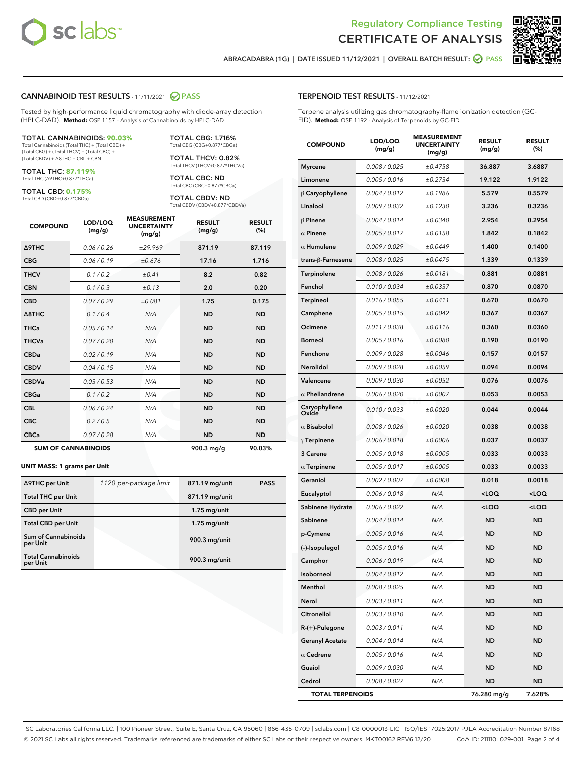



ABRACADABRA (1G) | DATE ISSUED 11/12/2021 | OVERALL BATCH RESULT: @ PASS

#### CANNABINOID TEST RESULTS - 11/11/2021 2 PASS

Tested by high-performance liquid chromatography with diode-array detection (HPLC-DAD). **Method:** QSP 1157 - Analysis of Cannabinoids by HPLC-DAD

#### TOTAL CANNABINOIDS: **90.03%**

Total Cannabinoids (Total THC) + (Total CBD) + (Total CBG) + (Total THCV) + (Total CBC) + (Total CBDV) + ∆8THC + CBL + CBN

TOTAL THC: **87.119%** Total THC (∆9THC+0.877\*THCa)

TOTAL CBD: **0.175%**

Total CBD (CBD+0.877\*CBDa)

TOTAL CBG: 1.716% Total CBG (CBG+0.877\*CBGa)

TOTAL THCV: 0.82% Total THCV (THCV+0.877\*THCVa)

TOTAL CBC: ND Total CBC (CBC+0.877\*CBCa)

TOTAL CBDV: ND Total CBDV (CBDV+0.877\*CBDVa)

| <b>COMPOUND</b>  | LOD/LOQ<br>(mg/g)          | <b>MEASUREMENT</b><br><b>UNCERTAINTY</b><br>(mg/g) | <b>RESULT</b><br>(mg/g) | <b>RESULT</b><br>(%) |
|------------------|----------------------------|----------------------------------------------------|-------------------------|----------------------|
| Δ9THC            | 0.06/0.26                  | ±29.969                                            | 871.19                  | 87.119               |
| <b>CBG</b>       | 0.06/0.19                  | ±0.676                                             | 17.16                   | 1.716                |
| <b>THCV</b>      | 0.1/0.2                    | ±0.41                                              | 8.2                     | 0.82                 |
| <b>CBN</b>       | 0.1/0.3                    | ±0.13                                              | 2.0                     | 0.20                 |
| <b>CBD</b>       | 0.07/0.29                  | ±0.081                                             | 1.75                    | 0.175                |
| $\triangle$ 8THC | 0.1 / 0.4                  | N/A                                                | <b>ND</b>               | <b>ND</b>            |
| <b>THCa</b>      | 0.05/0.14                  | N/A                                                | <b>ND</b>               | <b>ND</b>            |
| <b>THCVa</b>     | 0.07 / 0.20                | N/A                                                | <b>ND</b>               | <b>ND</b>            |
| <b>CBDa</b>      | 0.02/0.19                  | N/A                                                | <b>ND</b>               | <b>ND</b>            |
| <b>CBDV</b>      | 0.04 / 0.15                | N/A                                                | <b>ND</b>               | <b>ND</b>            |
| <b>CBDVa</b>     | 0.03/0.53                  | N/A                                                | <b>ND</b>               | <b>ND</b>            |
| <b>CBGa</b>      | 0.1/0.2                    | N/A                                                | <b>ND</b>               | <b>ND</b>            |
| <b>CBL</b>       | 0.06 / 0.24                | N/A                                                | <b>ND</b>               | <b>ND</b>            |
| <b>CBC</b>       | 0.2 / 0.5                  | N/A                                                | <b>ND</b>               | <b>ND</b>            |
| <b>CBCa</b>      | 0.07 / 0.28                | N/A                                                | <b>ND</b>               | <b>ND</b>            |
|                  | <b>SUM OF CANNABINOIDS</b> |                                                    | 900.3 mg/g              | 90.03%               |

#### **UNIT MASS: 1 grams per Unit**

| ∆9THC per Unit                         | 1120 per-package limit | 871.19 mg/unit | <b>PASS</b> |
|----------------------------------------|------------------------|----------------|-------------|
| <b>Total THC per Unit</b>              |                        | 871.19 mg/unit |             |
| <b>CBD</b> per Unit                    |                        | $1.75$ mg/unit |             |
| <b>Total CBD per Unit</b>              |                        | $1.75$ mg/unit |             |
| <b>Sum of Cannabinoids</b><br>per Unit |                        | 900.3 mg/unit  |             |
| <b>Total Cannabinoids</b><br>per Unit  |                        | 900.3 mg/unit  |             |

# TERPENOID TEST RESULTS - 11/12/2021

Terpene analysis utilizing gas chromatography-flame ionization detection (GC-FID). **Method:** QSP 1192 - Analysis of Terpenoids by GC-FID

| <b>COMPOUND</b>         | LOD/LOQ<br>(mg/g) | <b>MEASUREMENT</b><br><b>UNCERTAINTY</b><br>(mg/g) | <b>RESULT</b><br>(mg/g)                         | <b>RESULT</b><br>(%) |
|-------------------------|-------------------|----------------------------------------------------|-------------------------------------------------|----------------------|
| Myrcene                 | 0.008 / 0.025     | ±0.4758                                            | 36.887                                          | 3.6887               |
| Limonene                | 0.005 / 0.016     | ±0.2734                                            | 19.122                                          | 1.9122               |
| $\beta$ Caryophyllene   | 0.004 / 0.012     | ±0.1986                                            | 5.579                                           | 0.5579               |
| Linalool                | 0.009 / 0.032     | ±0.1230                                            | 3.236                                           | 0.3236               |
| $\beta$ Pinene          | 0.004 / 0.014     | ±0.0340                                            | 2.954                                           | 0.2954               |
| $\alpha$ Pinene         | 0.005 / 0.017     | ±0.0158                                            | 1.842                                           | 0.1842               |
| $\alpha$ Humulene       | 0.009/0.029       | ±0.0449                                            | 1.400                                           | 0.1400               |
| trans-ß-Farnesene       | 0.008 / 0.025     | ±0.0475                                            | 1.339                                           | 0.1339               |
| Terpinolene             | 0.008 / 0.026     | ±0.0181                                            | 0.881                                           | 0.0881               |
| Fenchol                 | 0.010 / 0.034     | ±0.0337                                            | 0.870                                           | 0.0870               |
| Terpineol               | 0.016 / 0.055     | ±0.0411                                            | 0.670                                           | 0.0670               |
| Camphene                | 0.005 / 0.015     | ±0.0042                                            | 0.367                                           | 0.0367               |
| Ocimene                 | 0.011 / 0.038     | ±0.0116                                            | 0.360                                           | 0.0360               |
| Borneol                 | 0.005 / 0.016     | ±0.0080                                            | 0.190                                           | 0.0190               |
| Fenchone                | 0.009 / 0.028     | ±0.0046                                            | 0.157                                           | 0.0157               |
| Nerolidol               | 0.009 / 0.028     | ±0.0059                                            | 0.094                                           | 0.0094               |
| Valencene               | 0.009 / 0.030     | ±0.0052                                            | 0.076                                           | 0.0076               |
| $\alpha$ Phellandrene   | 0.006 / 0.020     | ±0.0007                                            | 0.053                                           | 0.0053               |
| Caryophyllene<br>Oxide  | 0.010 / 0.033     | ±0.0020                                            | 0.044                                           | 0.0044               |
| $\alpha$ Bisabolol      | 0.008 / 0.026     | ±0.0020                                            | 0.038                                           | 0.0038               |
| $\gamma$ Terpinene      | 0.006 / 0.018     | ±0.0006                                            | 0.037                                           | 0.0037               |
| 3 Carene                | 0.005 / 0.018     | ±0.0005                                            | 0.033                                           | 0.0033               |
| $\alpha$ Terpinene      | 0.005 / 0.017     | ±0.0005                                            | 0.033                                           | 0.0033               |
| Geraniol                | 0.002 / 0.007     | ±0.0008                                            | 0.018                                           | 0.0018               |
| Eucalyptol              | 0.006 / 0.018     | N/A                                                | <loq< th=""><th><loq< th=""></loq<></th></loq<> | <loq< th=""></loq<>  |
| Sabinene Hydrate        | 0.006 / 0.022     | N/A                                                | <loq< th=""><th><loq< th=""></loq<></th></loq<> | <loq< th=""></loq<>  |
| Sabinene                | 0.004 / 0.014     | N/A                                                | <b>ND</b>                                       | <b>ND</b>            |
| p-Cymene                | 0.005 / 0.016     | N/A                                                | <b>ND</b>                                       | ND                   |
| (-)-Isopulegol          | 0.005 / 0.016     | N/A                                                | ND                                              | ND                   |
| Camphor                 | 0.006 / 0.019     | N/A                                                | <b>ND</b>                                       | <b>ND</b>            |
| Isoborneol              | 0.004 / 0.012     | N/A                                                | ND                                              | ND                   |
| Menthol                 | 0.008 / 0.025     | N/A                                                | ND                                              | ND                   |
| Nerol                   | 0.003 / 0.011     | N/A                                                | <b>ND</b>                                       | ND                   |
| Citronellol             | 0.003 / 0.010     | N/A                                                | ND                                              | ND                   |
| R-(+)-Pulegone          | 0.003 / 0.011     | N/A                                                | ND                                              | ND                   |
| <b>Geranyl Acetate</b>  | 0.004 / 0.014     | N/A                                                | ND                                              | ND                   |
| $\alpha$ Cedrene        | 0.005 / 0.016     | N/A                                                | ND                                              | ND                   |
| Guaiol                  | 0.009 / 0.030     | N/A                                                | ND                                              | ND                   |
| Cedrol                  | 0.008 / 0.027     | N/A                                                | ND                                              | ND                   |
| <b>TOTAL TERPENOIDS</b> |                   |                                                    | 76.280 mg/g                                     | 7.628%               |

SC Laboratories California LLC. | 100 Pioneer Street, Suite E, Santa Cruz, CA 95060 | 866-435-0709 | sclabs.com | C8-0000013-LIC | ISO/IES 17025:2017 PJLA Accreditation Number 87168 © 2021 SC Labs all rights reserved. Trademarks referenced are trademarks of either SC Labs or their respective owners. MKT00162 REV6 12/20 CoA ID: 211110L029-001 Page 2 of 4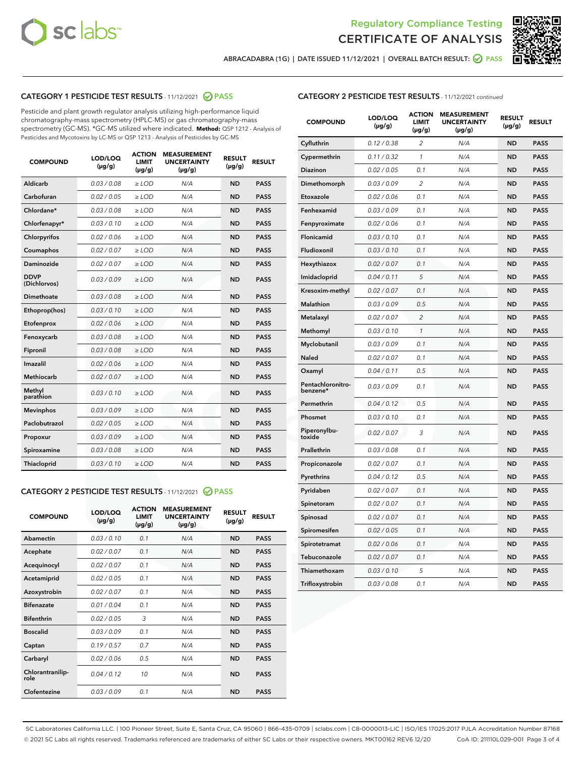



ABRACADABRA (1G) | DATE ISSUED 11/12/2021 | OVERALL BATCH RESULT:  $\bigcirc$  PASS

# CATEGORY 1 PESTICIDE TEST RESULTS - 11/12/2021 2 PASS

Pesticide and plant growth regulator analysis utilizing high-performance liquid chromatography-mass spectrometry (HPLC-MS) or gas chromatography-mass spectrometry (GC-MS). \*GC-MS utilized where indicated. **Method:** QSP 1212 - Analysis of Pesticides and Mycotoxins by LC-MS or QSP 1213 - Analysis of Pesticides by GC-MS

| <b>COMPOUND</b>             | LOD/LOQ<br>$(\mu g/g)$ | <b>ACTION</b><br><b>LIMIT</b><br>$(\mu q/q)$ | <b>MEASUREMENT</b><br><b>UNCERTAINTY</b><br>$(\mu g/g)$ | <b>RESULT</b><br>$(\mu g/g)$ | <b>RESULT</b> |
|-----------------------------|------------------------|----------------------------------------------|---------------------------------------------------------|------------------------------|---------------|
| Aldicarb                    | 0.03 / 0.08            | $\ge$ LOD                                    | N/A                                                     | <b>ND</b>                    | <b>PASS</b>   |
| Carbofuran                  | 0.02 / 0.05            | $\geq$ LOD                                   | N/A                                                     | <b>ND</b>                    | <b>PASS</b>   |
| Chlordane*                  | 0.03 / 0.08            | $\ge$ LOD                                    | N/A                                                     | <b>ND</b>                    | <b>PASS</b>   |
| Chlorfenapyr*               | 0.03/0.10              | $\geq$ LOD                                   | N/A                                                     | <b>ND</b>                    | <b>PASS</b>   |
| Chlorpyrifos                | 0.02 / 0.06            | $\ge$ LOD                                    | N/A                                                     | <b>ND</b>                    | <b>PASS</b>   |
| Coumaphos                   | 0.02 / 0.07            | $\ge$ LOD                                    | N/A                                                     | <b>ND</b>                    | <b>PASS</b>   |
| Daminozide                  | 0.02 / 0.07            | $\ge$ LOD                                    | N/A                                                     | <b>ND</b>                    | <b>PASS</b>   |
| <b>DDVP</b><br>(Dichlorvos) | 0.03/0.09              | $\ge$ LOD                                    | N/A                                                     | <b>ND</b>                    | <b>PASS</b>   |
| Dimethoate                  | 0.03 / 0.08            | $\ge$ LOD                                    | N/A                                                     | <b>ND</b>                    | <b>PASS</b>   |
| Ethoprop(hos)               | 0.03/0.10              | $\ge$ LOD                                    | N/A                                                     | <b>ND</b>                    | <b>PASS</b>   |
| Etofenprox                  | 0.02/0.06              | $>$ LOD                                      | N/A                                                     | <b>ND</b>                    | <b>PASS</b>   |
| Fenoxycarb                  | 0.03 / 0.08            | $\ge$ LOD                                    | N/A                                                     | <b>ND</b>                    | <b>PASS</b>   |
| Fipronil                    | 0.03/0.08              | $>$ LOD                                      | N/A                                                     | <b>ND</b>                    | <b>PASS</b>   |
| Imazalil                    | 0.02 / 0.06            | $\ge$ LOD                                    | N/A                                                     | <b>ND</b>                    | <b>PASS</b>   |
| Methiocarb                  | 0.02 / 0.07            | $\ge$ LOD                                    | N/A                                                     | <b>ND</b>                    | <b>PASS</b>   |
| Methyl<br>parathion         | 0.03/0.10              | $>$ LOD                                      | N/A                                                     | <b>ND</b>                    | <b>PASS</b>   |
| <b>Mevinphos</b>            | 0.03/0.09              | $>$ LOD                                      | N/A                                                     | <b>ND</b>                    | <b>PASS</b>   |
| Paclobutrazol               | 0.02 / 0.05            | $>$ LOD                                      | N/A                                                     | <b>ND</b>                    | <b>PASS</b>   |
| Propoxur                    | 0.03/0.09              | $\ge$ LOD                                    | N/A                                                     | <b>ND</b>                    | <b>PASS</b>   |
| Spiroxamine                 | 0.03 / 0.08            | $\ge$ LOD                                    | N/A                                                     | <b>ND</b>                    | <b>PASS</b>   |
| Thiacloprid                 | 0.03/0.10              | $\ge$ LOD                                    | N/A                                                     | <b>ND</b>                    | <b>PASS</b>   |

# CATEGORY 2 PESTICIDE TEST RESULTS - 11/12/2021 @ PASS

| <b>COMPOUND</b>          | LOD/LOO<br>$(\mu g/g)$ | <b>ACTION</b><br>LIMIT<br>$(\mu g/g)$ | <b>MEASUREMENT</b><br><b>UNCERTAINTY</b><br>$(\mu g/g)$ | <b>RESULT</b><br>$(\mu g/g)$ | <b>RESULT</b> |  |
|--------------------------|------------------------|---------------------------------------|---------------------------------------------------------|------------------------------|---------------|--|
| Abamectin                | 0.03/0.10              | 0.1                                   | N/A                                                     | <b>ND</b>                    | <b>PASS</b>   |  |
| Acephate                 | 0.02/0.07              | 0.1                                   | N/A                                                     | <b>ND</b>                    | <b>PASS</b>   |  |
| Acequinocyl              | 0.02/0.07              | 0.1                                   | N/A                                                     | <b>ND</b>                    | <b>PASS</b>   |  |
| Acetamiprid              | 0.02 / 0.05            | 0.1                                   | N/A                                                     | <b>ND</b>                    | <b>PASS</b>   |  |
| Azoxystrobin             | 0.02/0.07              | 0.1                                   | N/A                                                     | <b>ND</b>                    | <b>PASS</b>   |  |
| <b>Bifenazate</b>        | 0.01 / 0.04            | 0.1                                   | N/A                                                     | <b>ND</b>                    | <b>PASS</b>   |  |
| <b>Bifenthrin</b>        | 0.02 / 0.05            | 3                                     | N/A                                                     | <b>ND</b>                    | <b>PASS</b>   |  |
| <b>Boscalid</b>          | 0.03/0.09              | 0.1                                   | N/A                                                     | <b>ND</b>                    | <b>PASS</b>   |  |
| Captan                   | 0.19/0.57              | 0.7                                   | N/A                                                     | <b>ND</b>                    | <b>PASS</b>   |  |
| Carbaryl                 | 0.02/0.06              | 0.5                                   | N/A                                                     | <b>ND</b>                    | <b>PASS</b>   |  |
| Chlorantranilip-<br>role | 0.04/0.12              | 10                                    | N/A                                                     | <b>ND</b>                    | <b>PASS</b>   |  |
| Clofentezine             | 0.03/0.09              | 0.1                                   | N/A                                                     | <b>ND</b>                    | <b>PASS</b>   |  |

| <b>COMPOUND</b>               | LOD/LOQ<br>(µg/g) | <b>ACTION</b><br>LIMIT<br>$(\mu g/g)$ | <b>MEASUREMENT</b><br><b>UNCERTAINTY</b><br>$(\mu g/g)$ | <b>RESULT</b><br>(µg/g) | <b>RESULT</b> |
|-------------------------------|-------------------|---------------------------------------|---------------------------------------------------------|-------------------------|---------------|
| Cyfluthrin                    | 0.12 / 0.38       | 2                                     | N/A                                                     | <b>ND</b>               | <b>PASS</b>   |
| Cypermethrin                  | 0.11 / 0.32       | $\mathcal{I}$                         | N/A                                                     | <b>ND</b>               | <b>PASS</b>   |
| Diazinon                      | 0.02 / 0.05       | 0.1                                   | N/A                                                     | <b>ND</b>               | <b>PASS</b>   |
| Dimethomorph                  | 0.03 / 0.09       | 2                                     | N/A                                                     | <b>ND</b>               | <b>PASS</b>   |
| Etoxazole                     | 0.02 / 0.06       | 0.1                                   | N/A                                                     | <b>ND</b>               | <b>PASS</b>   |
| Fenhexamid                    | 0.03 / 0.09       | 0.1                                   | N/A                                                     | <b>ND</b>               | <b>PASS</b>   |
| Fenpyroximate                 | 0.02 / 0.06       | 0.1                                   | N/A                                                     | <b>ND</b>               | <b>PASS</b>   |
| Flonicamid                    | 0.03 / 0.10       | 0.1                                   | N/A                                                     | <b>ND</b>               | <b>PASS</b>   |
| Fludioxonil                   | 0.03 / 0.10       | 0.1                                   | N/A                                                     | <b>ND</b>               | <b>PASS</b>   |
| Hexythiazox                   | 0.02 / 0.07       | 0.1                                   | N/A                                                     | <b>ND</b>               | <b>PASS</b>   |
| Imidacloprid                  | 0.04 / 0.11       | 5                                     | N/A                                                     | <b>ND</b>               | <b>PASS</b>   |
| Kresoxim-methyl               | 0.02 / 0.07       | 0.1                                   | N/A                                                     | <b>ND</b>               | <b>PASS</b>   |
| Malathion                     | 0.03 / 0.09       | 0.5                                   | N/A                                                     | <b>ND</b>               | <b>PASS</b>   |
| Metalaxyl                     | 0.02 / 0.07       | $\overline{c}$                        | N/A                                                     | <b>ND</b>               | <b>PASS</b>   |
| Methomyl                      | 0.03 / 0.10       | $\mathcal{I}$                         | N/A                                                     | <b>ND</b>               | <b>PASS</b>   |
| Myclobutanil                  | 0.03 / 0.09       | 0.1                                   | N/A                                                     | <b>ND</b>               | <b>PASS</b>   |
| Naled                         | 0.02 / 0.07       | 0.1                                   | N/A                                                     | <b>ND</b>               | <b>PASS</b>   |
| Oxamyl                        | 0.04 / 0.11       | 0.5                                   | N/A                                                     | <b>ND</b>               | <b>PASS</b>   |
| Pentachloronitro-<br>benzene* | 0.03/0.09         | 0.1                                   | N/A                                                     | <b>ND</b>               | <b>PASS</b>   |
| Permethrin                    | 0.04 / 0.12       | 0.5                                   | N/A                                                     | <b>ND</b>               | <b>PASS</b>   |
| Phosmet                       | 0.03 / 0.10       | 0.1                                   | N/A                                                     | <b>ND</b>               | <b>PASS</b>   |
| Piperonylbu-<br>toxide        | 0.02 / 0.07       | 3                                     | N/A                                                     | <b>ND</b>               | <b>PASS</b>   |
| Prallethrin                   | 0.03 / 0.08       | 0.1                                   | N/A                                                     | <b>ND</b>               | <b>PASS</b>   |
| Propiconazole                 | 0.02 / 0.07       | 0.1                                   | N/A                                                     | <b>ND</b>               | <b>PASS</b>   |
| Pyrethrins                    | 0.04 / 0.12       | 0.5                                   | N/A                                                     | <b>ND</b>               | <b>PASS</b>   |
| Pyridaben                     | 0.02 / 0.07       | 0.1                                   | N/A                                                     | <b>ND</b>               | <b>PASS</b>   |
| Spinetoram                    | 0.02 / 0.07       | 0.1                                   | N/A                                                     | <b>ND</b>               | <b>PASS</b>   |
| Spinosad                      | 0.02 / 0.07       | 0.1                                   | N/A                                                     | <b>ND</b>               | <b>PASS</b>   |
| Spiromesifen                  | 0.02 / 0.05       | 0.1                                   | N/A                                                     | <b>ND</b>               | <b>PASS</b>   |
| Spirotetramat                 | 0.02 / 0.06       | 0.1                                   | N/A                                                     | <b>ND</b>               | <b>PASS</b>   |
| Tebuconazole                  | 0.02 / 0.07       | 0.1                                   | N/A                                                     | <b>ND</b>               | <b>PASS</b>   |
| Thiamethoxam                  | 0.03 / 0.10       | 5                                     | N/A                                                     | <b>ND</b>               | <b>PASS</b>   |
| Trifloxystrobin               | 0.03 / 0.08       | 0.1                                   | N/A                                                     | <b>ND</b>               | <b>PASS</b>   |

SC Laboratories California LLC. | 100 Pioneer Street, Suite E, Santa Cruz, CA 95060 | 866-435-0709 | sclabs.com | C8-0000013-LIC | ISO/IES 17025:2017 PJLA Accreditation Number 87168 © 2021 SC Labs all rights reserved. Trademarks referenced are trademarks of either SC Labs or their respective owners. MKT00162 REV6 12/20 CoA ID: 211110L029-001 Page 3 of 4